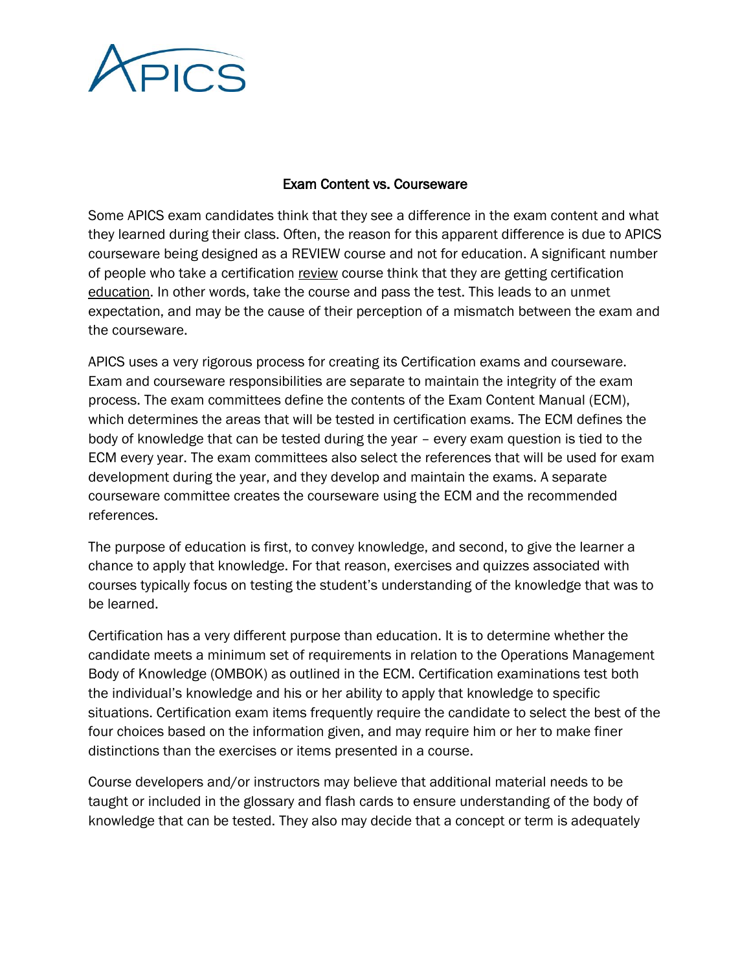

## Exam Content vs. Courseware

Some APICS exam candidates think that they see a difference in the exam content and what they learned during their class. Often, the reason for this apparent difference is due to APICS courseware being designed as a REVIEW course and not for education. A significant number of people who take a certification review course think that they are getting certification education. In other words, take the course and pass the test. This leads to an unmet expectation, and may be the cause of their perception of a mismatch between the exam and the courseware.

APICS uses a very rigorous process for creating its Certification exams and courseware. Exam and courseware responsibilities are separate to maintain the integrity of the exam process. The exam committees define the contents of the Exam Content Manual (ECM), which determines the areas that will be tested in certification exams. The ECM defines the body of knowledge that can be tested during the year – every exam question is tied to the ECM every year. The exam committees also select the references that will be used for exam development during the year, and they develop and maintain the exams. A separate courseware committee creates the courseware using the ECM and the recommended references.

The purpose of education is first, to convey knowledge, and second, to give the learner a chance to apply that knowledge. For that reason, exercises and quizzes associated with courses typically focus on testing the student's understanding of the knowledge that was to be learned.

Certification has a very different purpose than education. It is to determine whether the candidate meets a minimum set of requirements in relation to the Operations Management Body of Knowledge (OMBOK) as outlined in the ECM. Certification examinations test both the individual's knowledge and his or her ability to apply that knowledge to specific situations. Certification exam items frequently require the candidate to select the best of the four choices based on the information given, and may require him or her to make finer distinctions than the exercises or items presented in a course.

Course developers and/or instructors may believe that additional material needs to be taught or included in the glossary and flash cards to ensure understanding of the body of knowledge that can be tested. They also may decide that a concept or term is adequately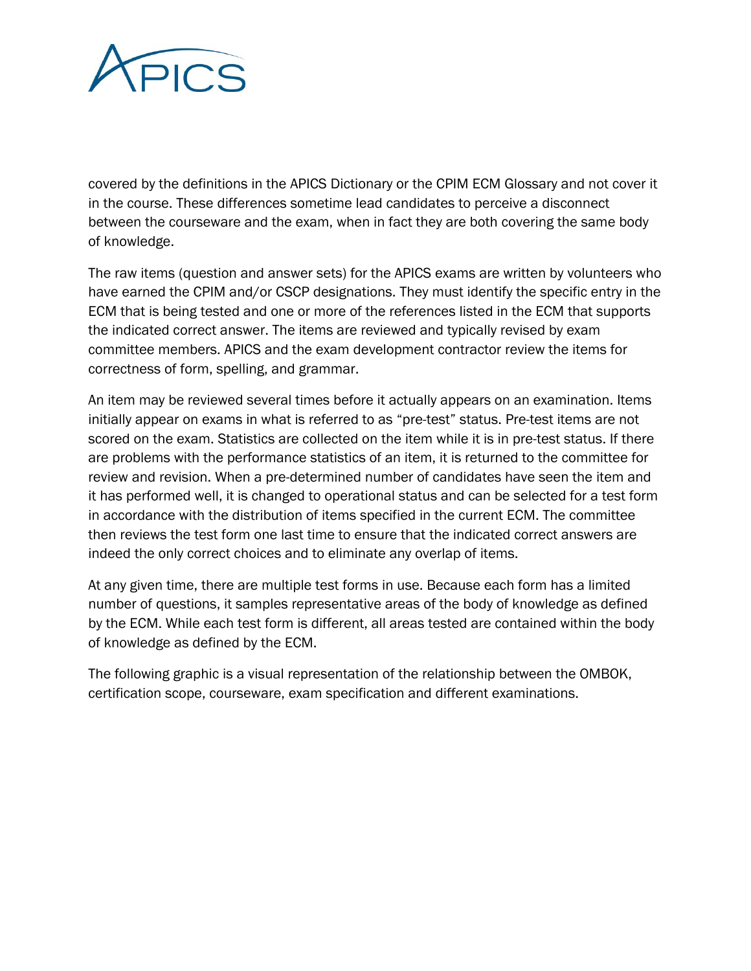

covered by the definitions in the APICS Dictionary or the CPIM ECM Glossary and not cover it in the course. These differences sometime lead candidates to perceive a disconnect between the courseware and the exam, when in fact they are both covering the same body of knowledge.

The raw items (question and answer sets) for the APICS exams are written by volunteers who have earned the CPIM and/or CSCP designations. They must identify the specific entry in the ECM that is being tested and one or more of the references listed in the ECM that supports the indicated correct answer. The items are reviewed and typically revised by exam committee members. APICS and the exam development contractor review the items for correctness of form, spelling, and grammar.

An item may be reviewed several times before it actually appears on an examination. Items initially appear on exams in what is referred to as "pre-test" status. Pre-test items are not scored on the exam. Statistics are collected on the item while it is in pre-test status. If there are problems with the performance statistics of an item, it is returned to the committee for review and revision. When a pre-determined number of candidates have seen the item and it has performed well, it is changed to operational status and can be selected for a test form in accordance with the distribution of items specified in the current ECM. The committee then reviews the test form one last time to ensure that the indicated correct answers are indeed the only correct choices and to eliminate any overlap of items.

At any given time, there are multiple test forms in use. Because each form has a limited number of questions, it samples representative areas of the body of knowledge as defined by the ECM. While each test form is different, all areas tested are contained within the body of knowledge as defined by the ECM.

The following graphic is a visual representation of the relationship between the OMBOK, certification scope, courseware, exam specification and different examinations.